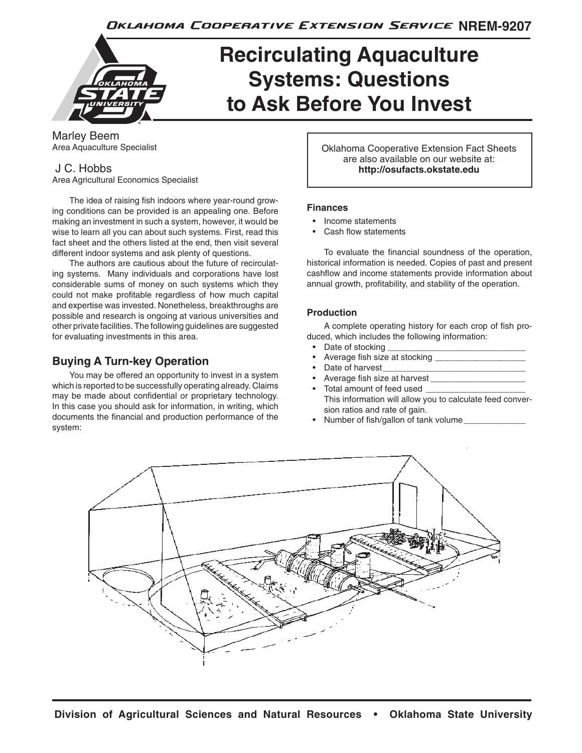Oklahoma Cooperative Extension Service NREM-9207



# **Recirculating Aquaculture Systems: Questions to Ask Before You Invest**

Marley Beem Area Aquaculture Specialist

## J C. Hobbs

Area Agricultural Economics Specialist

The idea of raising fish indoors where year-round growing conditions can be provided is an appealing one. Before making an investment in such a system, however, it would be wise to learn all you can about such systems. First, read this fact sheet and the others listed at the end, then visit several different indoor systems and ask plenty of questions.

The authors are cautious about the future of recirculating systems. Many individuals and corporations have lost considerable sums of money on such systems which they could not make profitable regardless of how much capital and expertise was invested. Nonetheless, breakthroughs are possible and research is ongoing at various universities and other private facilities. The following guidelines are suggested for evaluating investments in this area.

## **Buying A Turn-key Operation**

You may be offered an opportunity to invest in a system which is reported to be successfully operating already. Claims may be made about confidential or proprietary technology. In this case you should ask for information, in writing, which documents the financial and production performance of the system:

Oklahoma Cooperative Extension Fact Sheets are also available on our website at: **http://osufacts.okstate.edu**

## **Finances**

- Income statements
- Cash flow statements

To evaluate the financial soundness of the operation, historical information is needed. Copies of past and present cashflow and income statements provide information about annual growth, profitability, and stability of the operation.

## **Production**

A complete operating history for each crop of fish produced, which includes the following information:

- Date of stocking
- Average fish size at stocking \_\_\_\_\_\_\_\_\_\_\_\_\_\_\_\_\_\_\_
- Date of harvest
- Average fish size at harvest
- Total amount of feed used This information will allow you to calculate feed conversion ratios and rate of gain.
- Number of fish/gallon of tank volume